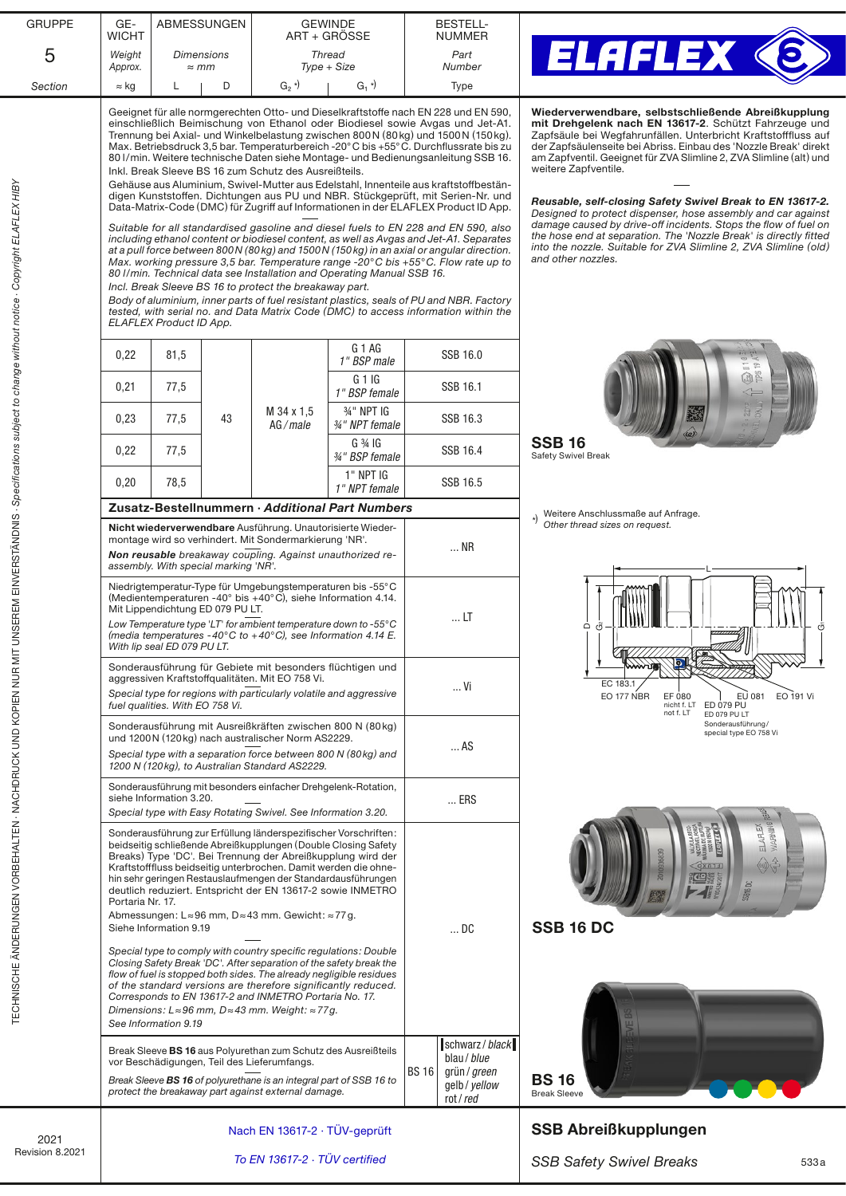| <b>GRUPPE</b>                                                                                        | GE-<br><b>WICHT</b>                                                                                                                                                                                                                                                                                                                                                                                                                                                                               | <b>ABMESSUNGEN</b>                                              |    | <b>GEWINDE</b>                                                                                                                                                                                                                                                | ART + GRÖSSE                                                                                                                                                                                                                                                                                                                                                                                                                                                                                                                                                                                                                                                                                                                                                                                                                                                                                                                                                                                                                                                                                                                                                                                                                                                                                                                                                 |                                                                                                                                                                                                                                                                                                                                                                                                                                                                                                                                                                                                                                                                                                                 | <b>BESTELL-</b><br><b>NUMMER</b>                                           |                                                                                                                                                                 |  |  |
|------------------------------------------------------------------------------------------------------|---------------------------------------------------------------------------------------------------------------------------------------------------------------------------------------------------------------------------------------------------------------------------------------------------------------------------------------------------------------------------------------------------------------------------------------------------------------------------------------------------|-----------------------------------------------------------------|----|---------------------------------------------------------------------------------------------------------------------------------------------------------------------------------------------------------------------------------------------------------------|--------------------------------------------------------------------------------------------------------------------------------------------------------------------------------------------------------------------------------------------------------------------------------------------------------------------------------------------------------------------------------------------------------------------------------------------------------------------------------------------------------------------------------------------------------------------------------------------------------------------------------------------------------------------------------------------------------------------------------------------------------------------------------------------------------------------------------------------------------------------------------------------------------------------------------------------------------------------------------------------------------------------------------------------------------------------------------------------------------------------------------------------------------------------------------------------------------------------------------------------------------------------------------------------------------------------------------------------------------------|-----------------------------------------------------------------------------------------------------------------------------------------------------------------------------------------------------------------------------------------------------------------------------------------------------------------------------------------------------------------------------------------------------------------------------------------------------------------------------------------------------------------------------------------------------------------------------------------------------------------------------------------------------------------------------------------------------------------|----------------------------------------------------------------------------|-----------------------------------------------------------------------------------------------------------------------------------------------------------------|--|--|
| 5                                                                                                    | Weight<br>Approx.                                                                                                                                                                                                                                                                                                                                                                                                                                                                                 | Thread<br><b>Dimensions</b><br>$Type + Size$<br>$\approx$ mm    |    |                                                                                                                                                                                                                                                               | Part<br>Number                                                                                                                                                                                                                                                                                                                                                                                                                                                                                                                                                                                                                                                                                                                                                                                                                                                                                                                                                                                                                                                                                                                                                                                                                                                                                                                                               | ELAFLEX                                                                                                                                                                                                                                                                                                                                                                                                                                                                                                                                                                                                                                                                                                         |                                                                            |                                                                                                                                                                 |  |  |
| Section                                                                                              | $\approx$ kg                                                                                                                                                                                                                                                                                                                                                                                                                                                                                      |                                                                 | D  | $G_2$ <sup>*)</sup>                                                                                                                                                                                                                                           | $G_1$ <sup>*</sup>                                                                                                                                                                                                                                                                                                                                                                                                                                                                                                                                                                                                                                                                                                                                                                                                                                                                                                                                                                                                                                                                                                                                                                                                                                                                                                                                           |                                                                                                                                                                                                                                                                                                                                                                                                                                                                                                                                                                                                                                                                                                                 | Type                                                                       |                                                                                                                                                                 |  |  |
| IT UNSEREM EINVERSTÄNDNIS · Specifications subject to change without notice · Copyright ELAFLEX HIBY |                                                                                                                                                                                                                                                                                                                                                                                                                                                                                                   | <b>ELAFLEX Product ID App.</b>                                  |    | Inkl. Break Sleeve BS 16 zum Schutz des Ausreißteils.<br>Incl. Break Sleeve BS 16 to protect the breakaway part.                                                                                                                                              | Geeignet für alle normgerechten Otto- und Dieselkraftstoffe nach EN 228 und EN 590,<br>einschließlich Beimischung von Ethanol oder Biodiesel sowie Avgas und Jet-A1.<br>Trennung bei Axial- und Winkelbelastung zwischen 800N (80kg) und 1500N (150kg).<br>Max. Betriebsdruck 3,5 bar. Temperaturbereich -20°C bis +55°C. Durchflussrate bis zu<br>80 I/min. Weitere technische Daten siehe Montage- und Bedienungsanleitung SSB 16.<br>Gehäuse aus Aluminium, Swivel-Mutter aus Edelstahl, Innenteile aus kraftstoffbestän-<br>digen Kunststoffen. Dichtungen aus PU und NBR. Stückgeprüft, mit Serien-Nr. und<br>Data-Matrix-Code (DMC) für Zugriff auf Informationen in der ELAFLEX Product ID App.<br>Suitable for all standardised gasoline and diesel fuels to EN 228 and EN 590, also<br>including ethanol content or biodiesel content, as well as Avgas and Jet-A1. Separates<br>at a pull force between 800 N (80 kg) and 1500 N (150 kg) in an axial or angular direction.<br>Max. working pressure 3,5 bar. Temperature range -20 $^{\circ}$ C bis +55 $^{\circ}$ C. Flow rate up to<br>80 I/min. Technical data see Installation and Operating Manual SSB 16.<br>Body of aluminium, inner parts of fuel resistant plastics, seals of PU and NBR. Factory<br>tested, with serial no. and Data Matrix Code (DMC) to access information within the | Wiederverwendbare, selbstschließende Abreißkupplung<br>mit Drehgelenk nach EN 13617-2. Schützt Fahrzeuge und<br>Zapfsäule bei Wegfahrunfällen. Unterbricht Kraftstofffluss auf<br>der Zapfsäulenseite bei Abriss. Einbau des 'Nozzle Break' direkt<br>am Zapfventil. Geeignet für ZVA Slimline 2, ZVA Slimline (alt) und<br>weitere Zapfventile.<br>Reusable, self-closing Safety Swivel Break to EN 13617-2.<br>Designed to protect dispenser, hose assembly and car against<br>damage caused by drive-off incidents. Stops the flow of fuel on<br>the hose end at separation. The 'Nozzle Break' is directly fitted<br>into the nozzle. Suitable for ZVA Slimline 2, ZVA Slimline (old)<br>and other nozzles. |                                                                            |                                                                                                                                                                 |  |  |
|                                                                                                      | 0,22                                                                                                                                                                                                                                                                                                                                                                                                                                                                                              | 81,5                                                            |    |                                                                                                                                                                                                                                                               | G 1 AG<br>1" BSP male                                                                                                                                                                                                                                                                                                                                                                                                                                                                                                                                                                                                                                                                                                                                                                                                                                                                                                                                                                                                                                                                                                                                                                                                                                                                                                                                        |                                                                                                                                                                                                                                                                                                                                                                                                                                                                                                                                                                                                                                                                                                                 | SSB 16.0                                                                   |                                                                                                                                                                 |  |  |
|                                                                                                      | 0,21                                                                                                                                                                                                                                                                                                                                                                                                                                                                                              | 77,5                                                            |    |                                                                                                                                                                                                                                                               | G 1IG<br>1" BSP female                                                                                                                                                                                                                                                                                                                                                                                                                                                                                                                                                                                                                                                                                                                                                                                                                                                                                                                                                                                                                                                                                                                                                                                                                                                                                                                                       |                                                                                                                                                                                                                                                                                                                                                                                                                                                                                                                                                                                                                                                                                                                 | SSB 16.1                                                                   | 面色                                                                                                                                                              |  |  |
|                                                                                                      | 0,23                                                                                                                                                                                                                                                                                                                                                                                                                                                                                              | 77,5                                                            | 43 | M 34 x 1.5<br>AG/male                                                                                                                                                                                                                                         | 34" NPT IG<br>34" NPT female                                                                                                                                                                                                                                                                                                                                                                                                                                                                                                                                                                                                                                                                                                                                                                                                                                                                                                                                                                                                                                                                                                                                                                                                                                                                                                                                 |                                                                                                                                                                                                                                                                                                                                                                                                                                                                                                                                                                                                                                                                                                                 | SSB 16.3                                                                   |                                                                                                                                                                 |  |  |
|                                                                                                      | 0,22                                                                                                                                                                                                                                                                                                                                                                                                                                                                                              | 77,5                                                            |    |                                                                                                                                                                                                                                                               | $G \frac{3}{4} IG$<br>34" BSP female                                                                                                                                                                                                                                                                                                                                                                                                                                                                                                                                                                                                                                                                                                                                                                                                                                                                                                                                                                                                                                                                                                                                                                                                                                                                                                                         |                                                                                                                                                                                                                                                                                                                                                                                                                                                                                                                                                                                                                                                                                                                 | SSB 16.4                                                                   | <b>SSB 16</b><br>Safety Swivel Break                                                                                                                            |  |  |
|                                                                                                      | 0,20                                                                                                                                                                                                                                                                                                                                                                                                                                                                                              | 78,5                                                            |    |                                                                                                                                                                                                                                                               | 1" NPT IG<br>1" NPT female                                                                                                                                                                                                                                                                                                                                                                                                                                                                                                                                                                                                                                                                                                                                                                                                                                                                                                                                                                                                                                                                                                                                                                                                                                                                                                                                   |                                                                                                                                                                                                                                                                                                                                                                                                                                                                                                                                                                                                                                                                                                                 | SSB 16.5                                                                   |                                                                                                                                                                 |  |  |
|                                                                                                      |                                                                                                                                                                                                                                                                                                                                                                                                                                                                                                   |                                                                 |    |                                                                                                                                                                                                                                                               | Zusatz-Bestellnummern · Additional Part Numbers                                                                                                                                                                                                                                                                                                                                                                                                                                                                                                                                                                                                                                                                                                                                                                                                                                                                                                                                                                                                                                                                                                                                                                                                                                                                                                              |                                                                                                                                                                                                                                                                                                                                                                                                                                                                                                                                                                                                                                                                                                                 |                                                                            | Weitere Anschlussmaße auf Anfrage.                                                                                                                              |  |  |
|                                                                                                      |                                                                                                                                                                                                                                                                                                                                                                                                                                                                                                   | assembly. With special marking 'NR'.                            |    | Nicht wiederverwendbare Ausführung. Unautorisierte Wieder-<br>montage wird so verhindert. Mit Sondermarkierung 'NR'.<br>Non reusable breakaway coupling. Against unauthorized re-                                                                             |                                                                                                                                                                                                                                                                                                                                                                                                                                                                                                                                                                                                                                                                                                                                                                                                                                                                                                                                                                                                                                                                                                                                                                                                                                                                                                                                                              |                                                                                                                                                                                                                                                                                                                                                                                                                                                                                                                                                                                                                                                                                                                 | NR                                                                         | (x) Wellet Criticians on request.                                                                                                                               |  |  |
|                                                                                                      |                                                                                                                                                                                                                                                                                                                                                                                                                                                                                                   | Mit Lippendichtung ED 079 PU LT.<br>With lip seal ED 079 PU LT. |    | Niedrigtemperatur-Type für Umgebungstemperaturen bis -55°C<br>(Medientemperaturen -40° bis +40°C), siehe Information 4.14.<br>Low Temperature type 'LT' for ambient temperature down to -55°C<br>(media temperatures -40°C to +40°C), see Information 4.14 E. |                                                                                                                                                                                                                                                                                                                                                                                                                                                                                                                                                                                                                                                                                                                                                                                                                                                                                                                                                                                                                                                                                                                                                                                                                                                                                                                                                              |                                                                                                                                                                                                                                                                                                                                                                                                                                                                                                                                                                                                                                                                                                                 | LT                                                                         | $\mathsf \Omega$<br>Ö<br>$\overline{u}$                                                                                                                         |  |  |
|                                                                                                      |                                                                                                                                                                                                                                                                                                                                                                                                                                                                                                   | fuel qualities. With EO 758 Vi.                                 |    | Sonderausführung für Gebiete mit besonders flüchtigen und<br>aggressiven Kraftstoffqualitäten. Mit EO 758 Vi.<br>Special type for regions with particularly volatile and aggressive                                                                           |                                                                                                                                                                                                                                                                                                                                                                                                                                                                                                                                                                                                                                                                                                                                                                                                                                                                                                                                                                                                                                                                                                                                                                                                                                                                                                                                                              |                                                                                                                                                                                                                                                                                                                                                                                                                                                                                                                                                                                                                                                                                                                 | Vi                                                                         | EC 183.1<br>EO 177 NBR<br>EU 081<br>EO 191 Vi<br>EF 080<br>nicht f. LT<br>ED 079 PU<br>not f. LT<br>ED 079 PU LT<br>Sonderausführung/<br>special type EO 758 Vi |  |  |
|                                                                                                      |                                                                                                                                                                                                                                                                                                                                                                                                                                                                                                   |                                                                 |    | Sonderausführung mit Ausreißkräften zwischen 800 N (80 kg)<br>und 1200N (120kg) nach australischer Norm AS2229.<br>Special type with a separation force between 800 N (80kg) and<br>1200 N (120kg), to Australian Standard AS2229.                            |                                                                                                                                                                                                                                                                                                                                                                                                                                                                                                                                                                                                                                                                                                                                                                                                                                                                                                                                                                                                                                                                                                                                                                                                                                                                                                                                                              |                                                                                                                                                                                                                                                                                                                                                                                                                                                                                                                                                                                                                                                                                                                 | AS                                                                         |                                                                                                                                                                 |  |  |
|                                                                                                      |                                                                                                                                                                                                                                                                                                                                                                                                                                                                                                   | siehe Information 3.20.                                         |    | Sonderausführung mit besonders einfacher Drehgelenk-Rotation,<br>Special type with Easy Rotating Swivel. See Information 3.20.                                                                                                                                |                                                                                                                                                                                                                                                                                                                                                                                                                                                                                                                                                                                                                                                                                                                                                                                                                                                                                                                                                                                                                                                                                                                                                                                                                                                                                                                                                              |                                                                                                                                                                                                                                                                                                                                                                                                                                                                                                                                                                                                                                                                                                                 | $$ ERS                                                                     |                                                                                                                                                                 |  |  |
| TECHNISCHE ÄNDERUNGEN VORBEHALTEN - NACHDRUCK UND KOPIEN NUR M                                       | Sonderausführung zur Erfüllung länderspezifischer Vorschriften:<br>beidseitig schließende Abreißkupplungen (Double Closing Safety<br>Breaks) Type 'DC'. Bei Trennung der Abreißkupplung wird der<br>Kraftstofffluss beidseitig unterbrochen. Damit werden die ohne-<br>hin sehr geringen Restauslaufmengen der Standardausführungen<br>deutlich reduziert. Entspricht der EN 13617-2 sowie INMETRO<br>Portaria Nr. 17.<br>Abmessungen: L≈96 mm, D≈43 mm. Gewicht: ≈77g.<br>Siehe Information 9.19 |                                                                 |    |                                                                                                                                                                                                                                                               |                                                                                                                                                                                                                                                                                                                                                                                                                                                                                                                                                                                                                                                                                                                                                                                                                                                                                                                                                                                                                                                                                                                                                                                                                                                                                                                                                              |                                                                                                                                                                                                                                                                                                                                                                                                                                                                                                                                                                                                                                                                                                                 | DC                                                                         | ELAFLEX<br><b>MARNIN</b><br>SGITE<br><b>SSB 16 DC</b>                                                                                                           |  |  |
|                                                                                                      | Special type to comply with country specific regulations: Double<br>Closing Safety Break 'DC'. After separation of the safety break the<br>flow of fuel is stopped both sides. The already negligible residues<br>of the standard versions are therefore significantly reduced.<br>Corresponds to EN 13617-2 and INMETRO Portaria No. 17.<br>Dimensions: L≈96 mm, D≈43 mm. Weight: ≈77g.<br>See Information 9.19                                                                                  |                                                                 |    |                                                                                                                                                                                                                                                               |                                                                                                                                                                                                                                                                                                                                                                                                                                                                                                                                                                                                                                                                                                                                                                                                                                                                                                                                                                                                                                                                                                                                                                                                                                                                                                                                                              |                                                                                                                                                                                                                                                                                                                                                                                                                                                                                                                                                                                                                                                                                                                 |                                                                            |                                                                                                                                                                 |  |  |
|                                                                                                      |                                                                                                                                                                                                                                                                                                                                                                                                                                                                                                   |                                                                 |    | Break Sleeve BS 16 aus Polyurethan zum Schutz des Ausreißteils<br>vor Beschädigungen, Teil des Lieferumfangs.<br>Break Sleeve BS 16 of polyurethane is an integral part of SSB 16 to<br>protect the breakaway part against external damage.                   |                                                                                                                                                                                                                                                                                                                                                                                                                                                                                                                                                                                                                                                                                                                                                                                                                                                                                                                                                                                                                                                                                                                                                                                                                                                                                                                                                              | <b>BS 16</b>                                                                                                                                                                                                                                                                                                                                                                                                                                                                                                                                                                                                                                                                                                    | schwarz / black<br>blau / blue<br>grün / green<br>gelb / yellow<br>rot/red | <b>BS16</b><br><b>Break Sleeve</b>                                                                                                                              |  |  |
| 2021                                                                                                 |                                                                                                                                                                                                                                                                                                                                                                                                                                                                                                   |                                                                 |    | Nach EN 13617-2 · TÜV-geprüft                                                                                                                                                                                                                                 |                                                                                                                                                                                                                                                                                                                                                                                                                                                                                                                                                                                                                                                                                                                                                                                                                                                                                                                                                                                                                                                                                                                                                                                                                                                                                                                                                              | <b>SSB Abreißkupplungen</b>                                                                                                                                                                                                                                                                                                                                                                                                                                                                                                                                                                                                                                                                                     |                                                                            |                                                                                                                                                                 |  |  |
| Revision 8.2021                                                                                      |                                                                                                                                                                                                                                                                                                                                                                                                                                                                                                   |                                                                 |    | To EN 13617-2 · TÜV certified                                                                                                                                                                                                                                 |                                                                                                                                                                                                                                                                                                                                                                                                                                                                                                                                                                                                                                                                                                                                                                                                                                                                                                                                                                                                                                                                                                                                                                                                                                                                                                                                                              |                                                                                                                                                                                                                                                                                                                                                                                                                                                                                                                                                                                                                                                                                                                 |                                                                            | <b>SSB Safety Swivel Breaks</b><br>533a                                                                                                                         |  |  |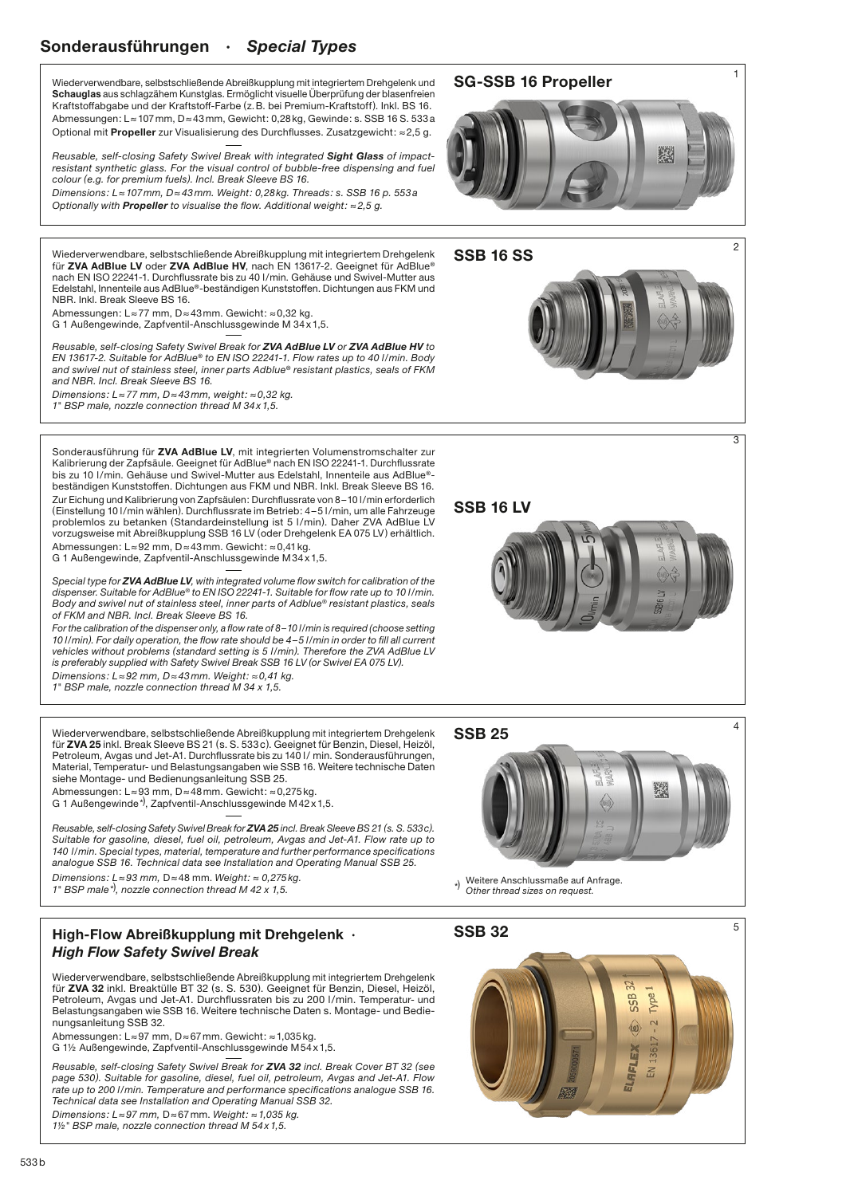### Sonderausführungen · *Special Types*

Wiederverwendbare, selbstschließende Abreißkupplung mit integriertem Drehgelenk und Schauglas aus schlagzähem Kunstglas. Ermöglicht visuelle Überprüfung der blasenfreien Kraftstoffabgabe und der Kraftstoff-Farbe (z.B. bei Premium-Kraftstoff). Inkl. BS 16. Abmessungen: L≈107mm, D≈43mm, Gewicht: 0,28kg, Gewinde: s. SSB 16 S. 533a Optional mit Propeller zur Visualisierung des Durchflusses. Zusatzgewicht: ≈2,5 g.

*Reusable, self-closing Safety Swivel Break with integrated Sight Glass of impact*resistant synthetic glass. For the visual control of bubble-free dispensing and fuel *colour (e.g. for premium fuels). Incl. Break Sleeve BS 16.*

*Dimensions: L≈107mm, D≈43mm. Weight: 0,28kg. Threads: s. SSB 16 p. 553a Optionally with Propeller to visualise the flow. Additional weight: ≈2,5 g.*

Wiederverwendbare, selbstschließende Abreißkupplung mit integriertem Drehgelenk für ZVA AdBlue LV oder ZVA AdBlue HV, nach EN 13617-2. Geeignet für AdBlue® nach EN ISO 22241-1. Durchflussrate bis zu 40 l/min. Gehäuse und Swivel-Mutter aus Edelstahl, Innenteile aus AdBlue®-beständigen Kunststoffen. Dichtungen aus FKM und NBR. Inkl. Break Sleeve BS 16.

Abmessungen: L≈77 mm, D≈43mm. Gewicht: ≈0,32 kg. G 1 Außengewinde, Zapfventil-Anschlussgewinde M 34x1,5.

*Reusable, self-closing Safety Swivel Break for ZVA AdBlue LV or ZVA AdBlue HV to EN 13617-2. Suitable for AdBlue*® *to EN ISO 22241-1. Flow rates up to 40 l/min. Body and swivel nut of stainless steel, inner parts Adblue*® *resistant plastics, seals of FKM and NBR. Incl. Break Sleeve BS 16.*

*Dimensions: L≈77 mm, D≈43mm, weight: ≈0,32 kg. 1" BSP male, nozzle connection thread M 34x1,5.*

Sonderausführung für ZVA AdBlue LV, mit integrierten Volumenstromschalter zur Kalibrierung der Zapfsäule. Geeignet für AdBlue® nach EN ISO 22241-1. Durchflussrate bis zu 10 l/min. Gehäuse und Swivel-Mutter aus Edelstahl, Innenteile aus AdBlue®beständigen Kunststoffen. Dichtungen aus FKM und NBR. Inkl. Break Sleeve BS 16. Zur Eichung und Kalibrierung von Zapfsäulen: Durchflussrate von 8–10 l/min erforderlich (Einstellung 10 l/min wählen). Durchflussrate im Betrieb: 4–5 l/min, um alle Fahrzeuge problemlos zu betanken (Standardeinstellung ist 5 l/min). Daher ZVA AdBlue LV vorzugsweise mit Abreißkupplung SSB 16 LV (oder Drehgelenk EA 075 LV) erhältlich. Abmessungen: L≈92 mm, D≈43mm. Gewicht: ≈0,41kg.

G 1 Außengewinde, Zapfventil-Anschlussgewinde M34x1,5.

*Special type for ZVA AdBlue LV, with integrated volume flow switch for calibration of the dispenser. Suitable for AdBlue® to EN ISO 22241-1. Suitable for flow rate up to 10 l/min. Body and swivel nut of stainless steel, inner parts of Adblue® resistant plastics, seals of FKM and NBR. Incl. Break Sleeve BS 16.*

*For the calibration of the dispenser only, a flow rate of 8–10 l/min is required (choose setting 10 l/min). For daily operation, the flow rate should be 4–5 l/min in order to fill all current vehicles without problems (standard setting is 5 l/min). Therefore the ZVA AdBlue LV is preferably supplied with Safety Swivel Break SSB 16 LV (or Swivel EA 075 LV). Dimensions: L≈92 mm, D≈43mm. Weight: ≈0,41 kg.* 

*1" BSP male, nozzle connection thread M 34 x 1,5.*

Wiederverwendbare, selbstschließende Abreißkupplung mit integriertem Drehgelenk für ZVA 25 inkl. Break Sleeve BS 21 (s. S. 533c). Geeignet für Benzin, Diesel, Heizöl, Petroleum, Avgas und Jet-A1. Durchflussrate bis zu 140 l/ min. Sonderausführungen, Material, Temperatur- und Belastungsangaben wie SSB 16. Weitere technische Daten siehe Montage- und Bedienungsanleitung SSB 25.

Abmessungen: L≈93 mm, D≈48mm. Gewicht: ≈0,275kg.

G 1 Außengewinde\*), Zapfventil-Anschlussgewinde M42x1,5.

*Reusable, self-closing Safety Swivel Break for ZVA 25 incl. Break Sleeve BS 21 (s. S. 533c). Suitable for gasoline, diesel, fuel oil, petroleum, Avgas and Jet-A1. Flow rate up to 140 l/min. Special types, material, temperature and further performance specifications analogue SSB 16. Technical data see Installation and Operating Manual SSB 25.*

*Dimensions: L≈93 mm,* D≈48 mm. *Weight: ≈ 0,275kg. 1" BSP male*\**, nozzle connection thread M 42 x 1,5.*

#### High-Flow Abreißkupplung mit Drehgelenk · *High Flow Safety Swivel Break*

Wiederverwendbare, selbstschließende Abreißkupplung mit integriertem Drehgelenk für ZVA 32 inkl. Breaktüll[e BT 32 \(s. S. 530\).](https://elaflex.de/dokumente/download/Catalogue/CatPage529_530.pdf) Geeignet für Benzin, Diesel, Heizöl, Petroleum, Avgas und Jet-A1. Durchflussraten bis zu 200 l/min. Temperatur- und Belastungsangaben wie SSB 16. Weitere technische Date[n s. Montage- und Bedie](https://elaflex.de/dokumente/download/Manual/Manual_SSB32.pdf)[nungsanleitung SSB 32.](https://elaflex.de/dokumente/download/Manual/Manual_SSB32.pdf) 

Abmessungen: L≈97 mm, D≈67mm. Gewicht: ≈1,035kg. G 11/2 Außengewinde, Zapfventil-Anschlussgewinde M54x1,5.

*Reusable, self-closing Safety Swivel Break for ZVA 32 incl. Break Cove[r BT 32 \(see](https://elaflex.de/dokumente/download/Catalogue/CatPage529_530.pdf)  [page 530\). S](https://elaflex.de/dokumente/download/Catalogue/CatPage529_530.pdf)uitable for gasoline, diesel, fuel oil, petroleum, Avgas and Jet-A1. Flow rate up to 200 l/min. Temperature and performance specifications a[nalogue SSB 16.](https://elaflex.de/dokumente/download/Manual/Manual_SSB32.pdf) [Technical data see Installation a](https://elaflex.de/dokumente/download/Manual/Manual_SSB32.pdf)nd Operating Manual SSB 32. Dimensions: L≈97 mm,* D≈67mm. *Weight: ≈1,035 kg.* 

*11/2" BSP male, nozzle connection thread M 54x1,5.*

## <sup>1</sup> SG-SSB 16 Propeller







 $\overline{2}$ 

 $\overline{3}$ 

4



# SSB 25



\*) Weitere Anschlussmaße auf Anfrage *Other thread sizes on request.*

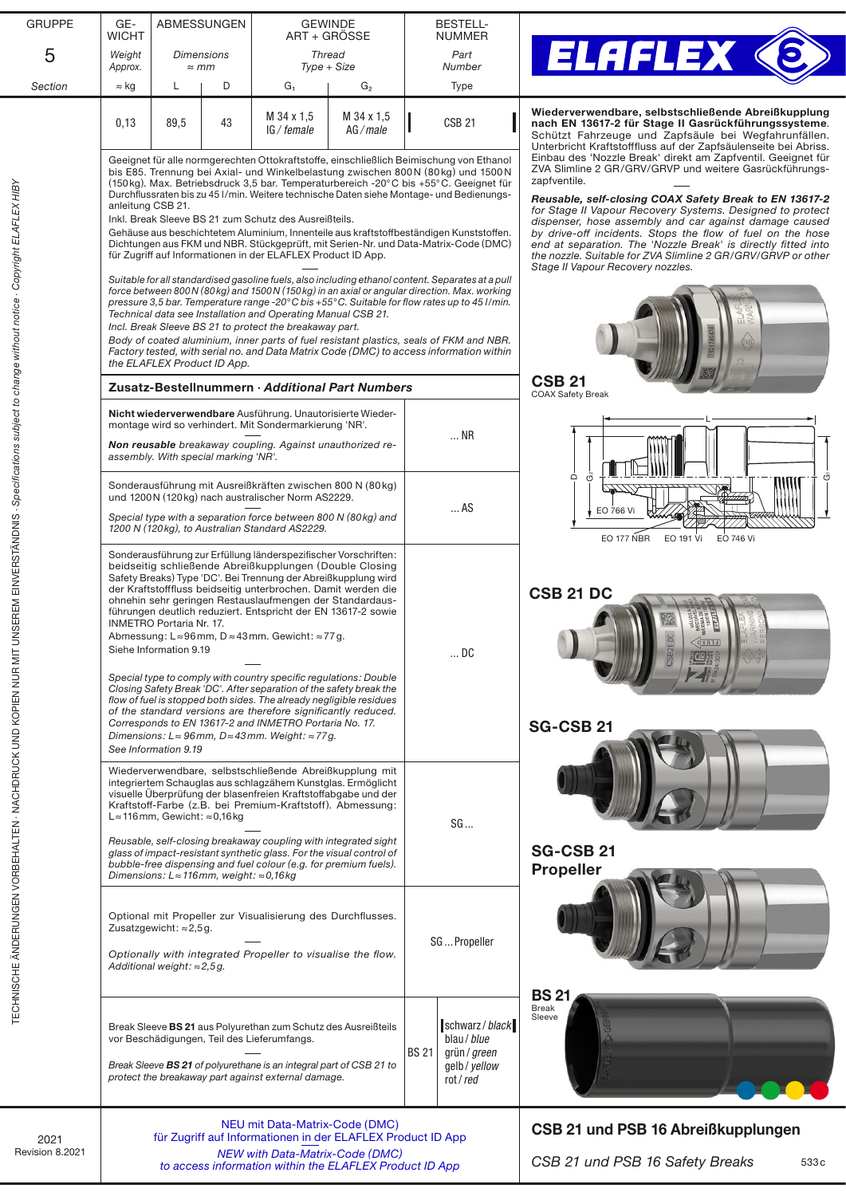| <b>GRUPPE</b>                                                                                     | GE-<br><b>WICHT</b> | ABMESSUNGEN                                                                                                                                                                                        |    | <b>GEWINDE</b><br>ART + GROSSE                                                                                                                                                                                                                                                                                                                                                                                                                                                                                                                                                                                                                                                                                                                                                                                                                                    |                       | <b>BESTELL-</b><br><b>NUMMER</b>                                                                                                                                                                                                                                                                                                                                                                                                                                                                                                                                                                                                |                                                                                           |                                                                                                                                                                     |
|---------------------------------------------------------------------------------------------------|---------------------|----------------------------------------------------------------------------------------------------------------------------------------------------------------------------------------------------|----|-------------------------------------------------------------------------------------------------------------------------------------------------------------------------------------------------------------------------------------------------------------------------------------------------------------------------------------------------------------------------------------------------------------------------------------------------------------------------------------------------------------------------------------------------------------------------------------------------------------------------------------------------------------------------------------------------------------------------------------------------------------------------------------------------------------------------------------------------------------------|-----------------------|---------------------------------------------------------------------------------------------------------------------------------------------------------------------------------------------------------------------------------------------------------------------------------------------------------------------------------------------------------------------------------------------------------------------------------------------------------------------------------------------------------------------------------------------------------------------------------------------------------------------------------|-------------------------------------------------------------------------------------------|---------------------------------------------------------------------------------------------------------------------------------------------------------------------|
| 5                                                                                                 | Weight<br>Approx.   | <b>Dimensions</b><br>$\approx$ mm                                                                                                                                                                  |    | <b>Thread</b><br>Type + Size                                                                                                                                                                                                                                                                                                                                                                                                                                                                                                                                                                                                                                                                                                                                                                                                                                      |                       | Part<br>Number                                                                                                                                                                                                                                                                                                                                                                                                                                                                                                                                                                                                                  |                                                                                           | <b>ELAFLEX &lt;</b>                                                                                                                                                 |
| Section                                                                                           | $\approx$ kg        | L                                                                                                                                                                                                  | D  | $G_1$                                                                                                                                                                                                                                                                                                                                                                                                                                                                                                                                                                                                                                                                                                                                                                                                                                                             | G <sub>2</sub>        |                                                                                                                                                                                                                                                                                                                                                                                                                                                                                                                                                                                                                                 | <b>Type</b>                                                                               |                                                                                                                                                                     |
|                                                                                                   | 0,13                | 89,5                                                                                                                                                                                               | 43 | M 34 x 1,5<br>IG/female                                                                                                                                                                                                                                                                                                                                                                                                                                                                                                                                                                                                                                                                                                                                                                                                                                           | M 34 x 1,5<br>AG/male |                                                                                                                                                                                                                                                                                                                                                                                                                                                                                                                                                                                                                                 | <b>CSB 21</b>                                                                             | Wiederverwendbare, selbstschließende Abreißkupplung<br>nach EN 13617-2 für Stage II Gasrückführungssysteme.<br>Schützt Fahrzeuge und Zapfsäule bei Wegfahrunfällen. |
|                                                                                                   | anleitung CSB 21.   |                                                                                                                                                                                                    |    | Geeignet für alle normgerechten Ottokraftstoffe, einschließlich Beimischung von Ethanol<br>bis E85. Trennung bei Axial- und Winkelbelastung zwischen 800N (80kg) und 1500N<br>(150 kg). Max. Betriebsdruck 3,5 bar. Temperaturbereich -20°C bis +55°C. Geeignet für<br>Durchflussraten bis zu 45 I/min. Weitere technische Daten siehe Montage- und Bedienungs-<br>Inkl. Break Sleeve BS 21 zum Schutz des Ausreißteils.<br>Gehäuse aus beschichtetem Aluminium, Innenteile aus kraftstoffbeständigen Kunststoffen.<br>Dichtungen aus FKM und NBR. Stückgeprüft, mit Serien-Nr. und Data-Matrix-Code (DMC)<br>für Zugriff auf Informationen in der ELAFLEX Product ID App.                                                                                                                                                                                        |                       | Unterbricht Kraftstofffluss auf der Zapfsäulenseite bei Abriss.<br>Einbau des 'Nozzle Break' direkt am Zapfventil. Geeignet für<br>ZVA Slimline 2 GR/GRV/GRVP und weitere Gasrückführungs-<br>zapfventile.<br>Reusable, self-closing COAX Safety Break to EN 13617-2<br>for Stage II Vapour Recovery Systems. Designed to protect<br>dispenser, hose assembly and car against damage caused<br>by drive-off incidents. Stops the flow of fuel on the hose<br>end at separation. The 'Nozzle Break' is directly fitted into<br>the nozzle. Suitable for ZVA Slimline 2 GR/GRV/GRVP or other<br>Stage II Vapour Recovery nozzles. |                                                                                           |                                                                                                                                                                     |
| UNSEREM EINVERSTÄNDNIS · Specifications subject to change without notice · Copyright ELAFLEX HIBY |                     | the ELAFLEX Product ID App.                                                                                                                                                                        |    | Suitable for all standardised gasoline fuels, also including ethanol content. Separates at a pull<br>force between 800N (80kg) and 1500N (150kg) in an axial or angular direction. Max. working<br>pressure 3,5 bar. Temperature range -20°C bis +55°C. Suitable for flow rates up to 45 l/min.<br>Technical data see Installation and Operating Manual CSB 21.<br>Incl. Break Sleeve BS 21 to protect the breakaway part.<br>Body of coated aluminium, inner parts of fuel resistant plastics, seals of FKM and NBR.<br>Factory tested, with serial no. and Data Matrix Code (DMC) to access information within                                                                                                                                                                                                                                                  |                       | <b>CSB 21</b>                                                                                                                                                                                                                                                                                                                                                                                                                                                                                                                                                                                                                   |                                                                                           |                                                                                                                                                                     |
|                                                                                                   |                     |                                                                                                                                                                                                    |    | Zusatz-Bestellnummern · Additional Part Numbers                                                                                                                                                                                                                                                                                                                                                                                                                                                                                                                                                                                                                                                                                                                                                                                                                   |                       | <b>COAX Safety Break</b>                                                                                                                                                                                                                                                                                                                                                                                                                                                                                                                                                                                                        |                                                                                           |                                                                                                                                                                     |
|                                                                                                   |                     | assembly. With special marking 'NR'.                                                                                                                                                               |    | Nicht wiederverwendbare Ausführung. Unautorisierte Wieder-<br>montage wird so verhindert. Mit Sondermarkierung 'NR'.<br>Non reusable breakaway coupling. Against unauthorized re-                                                                                                                                                                                                                                                                                                                                                                                                                                                                                                                                                                                                                                                                                 |                       |                                                                                                                                                                                                                                                                                                                                                                                                                                                                                                                                                                                                                                 | $$ NR                                                                                     |                                                                                                                                                                     |
|                                                                                                   |                     |                                                                                                                                                                                                    |    | Sonderausführung mit Ausreißkräften zwischen 800 N (80 kg)<br>und 1200N (120kg) nach australischer Norm AS2229.<br>Special type with a separation force between 800 N (80kg) and<br>1200 N (120kg), to Australian Standard AS2229.                                                                                                                                                                                                                                                                                                                                                                                                                                                                                                                                                                                                                                |                       |                                                                                                                                                                                                                                                                                                                                                                                                                                                                                                                                                                                                                                 | $$ AS                                                                                     | Ő<br>Ö<br>$\Box$<br>EO 766 Vi<br><b>EO 177 NBR</b><br>EO 191 Vi<br><b>EO 746 Vi</b>                                                                                 |
|                                                                                                   |                     | <b>INMETRO Portaria Nr. 17.</b><br>Siehe Information 9.19<br>See Information 9.19                                                                                                                  |    | Sonderausführung zur Erfüllung länderspezifischer Vorschriften:<br>beidseitig schließende Abreißkupplungen (Double Closing<br>Safety Breaks) Type 'DC'. Bei Trennung der Abreißkupplung wird<br>der Kraftstofffluss beidseitig unterbrochen. Damit werden die<br>ohnehin sehr geringen Restauslaufmengen der Standardaus-<br>führungen deutlich reduziert. Entspricht der EN 13617-2 sowie<br>Abmessung: L≈96mm, D≈43mm. Gewicht: ≈77g.<br>Special type to comply with country specific regulations: Double<br>Closing Safety Break 'DC'. After separation of the safety break the<br>flow of fuel is stopped both sides. The already negligible residues<br>of the standard versions are therefore significantly reduced.<br>Corresponds to EN 13617-2 and INMETRO Portaria No. 17.<br>Dimensions: $L \approx 96$ mm, $D \approx 43$ mm. Weight: $\approx 77$ g. |                       |                                                                                                                                                                                                                                                                                                                                                                                                                                                                                                                                                                                                                                 | DC                                                                                        | <b>CSB 21 DC</b><br>LLUXO.<br><b>SG-CSB 21</b>                                                                                                                      |
| TECHNISCHE ÄNDERUNGEN VORBEHALTEN - NACHDRUCK UND KOPIEN NUR MIT                                  |                     | L≈116mm, Gewicht: ≈0,16kg<br>Dimensions: $L \approx 116$ mm, weight: $\approx 0.16$ kg                                                                                                             |    | Wiederverwendbare, selbstschließende Abreißkupplung mit<br>integriertem Schauglas aus schlagzähem Kunstglas. Ermöglicht<br>visuelle Überprüfung der blasenfreien Kraftstoffabgabe und der<br>Kraftstoff-Farbe (z.B. bei Premium-Kraftstoff). Abmessung:<br>Reusable, self-closing breakaway coupling with integrated sight<br>glass of impact-resistant synthetic glass. For the visual control of<br>bubble-free dispensing and fuel colour (e.g. for premium fuels).                                                                                                                                                                                                                                                                                                                                                                                            |                       | SG                                                                                                                                                                                                                                                                                                                                                                                                                                                                                                                                                                                                                              |                                                                                           | <b>SG-CSB 21</b><br><b>Propeller</b>                                                                                                                                |
|                                                                                                   |                     | Zusatzgewicht: $\approx$ 2,5 g.<br>Additional weight: $\approx$ 2,5g.                                                                                                                              |    | Optional mit Propeller zur Visualisierung des Durchflusses.<br>Optionally with integrated Propeller to visualise the flow.                                                                                                                                                                                                                                                                                                                                                                                                                                                                                                                                                                                                                                                                                                                                        |                       | SGPropeller                                                                                                                                                                                                                                                                                                                                                                                                                                                                                                                                                                                                                     |                                                                                           |                                                                                                                                                                     |
|                                                                                                   |                     |                                                                                                                                                                                                    |    | Break Sleeve BS 21 aus Polyurethan zum Schutz des Ausreißteils<br>vor Beschädigungen, Teil des Lieferumfangs.<br>Break Sleeve BS 21 of polyurethane is an integral part of CSB 21 to<br>protect the breakaway part against external damage.                                                                                                                                                                                                                                                                                                                                                                                                                                                                                                                                                                                                                       |                       | <b>BS 21</b>                                                                                                                                                                                                                                                                                                                                                                                                                                                                                                                                                                                                                    | schwarz / black<br>blau / blue<br>grün / green<br>gelb/yellow<br>rot/red                  | <b>BS 21</b><br><b>Break</b><br>Sleeve                                                                                                                              |
| 2021<br>Revision 8.2021                                                                           |                     | NEU mit Data-Matrix-Code (DMC)<br>für Zugriff auf Informationen in der ELAFLEX Product ID App<br><b>NEW with Data-Matrix-Code (DMC)</b><br>to access information within the ELAFLEX Product ID App |    |                                                                                                                                                                                                                                                                                                                                                                                                                                                                                                                                                                                                                                                                                                                                                                                                                                                                   |                       |                                                                                                                                                                                                                                                                                                                                                                                                                                                                                                                                                                                                                                 | CSB 21 und PSB 16 Abreißkupplungen<br>CSB 21 und PSB 16 Safety Breaks<br>533 <sub>c</sub> |                                                                                                                                                                     |